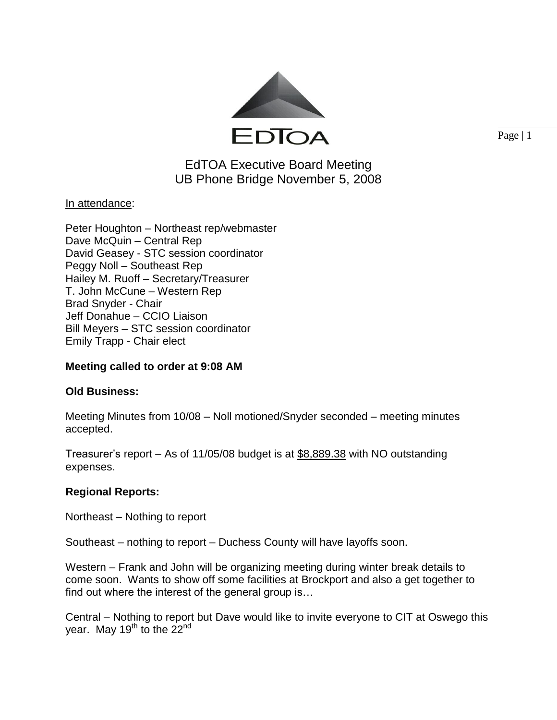

Page  $|1$ 

# EdTOA Executive Board Meeting UB Phone Bridge November 5, 2008

### <u>In attendance:</u>

Peter Houghton – Northeast rep/webmaster Dave McQuin – Central Rep David Geasey - STC session coordinator Peggy Noll – Southeast Rep Hailey M. Ruoff – Secretary/Treasurer T. John McCune – Western Rep Brad Snyder - Chair Jeff Donahue – CCIO Liaison Bill Meyers – STC session coordinator Emily Trapp - Chair elect

### **Meeting called to order at 9:08 AM**

## **Old Business:**

Meeting Minutes from 10/08 – Noll motioned/Snyder seconded – meeting minutes accepted.

Treasurer's report – As of 11/05/08 budget is at \$8,889.38 with NO outstanding expenses.

### **Regional Reports:**

Northeast – Nothing to report

Southeast – nothing to report – Duchess County will have layoffs soon.

Western – Frank and John will be organizing meeting during winter break details to come soon. Wants to show off some facilities at Brockport and also a get together to find out where the interest of the general group is…

Central – Nothing to report but Dave would like to invite everyone to CIT at Oswego this year. May 19<sup>th</sup> to the 22<sup>nd</sup>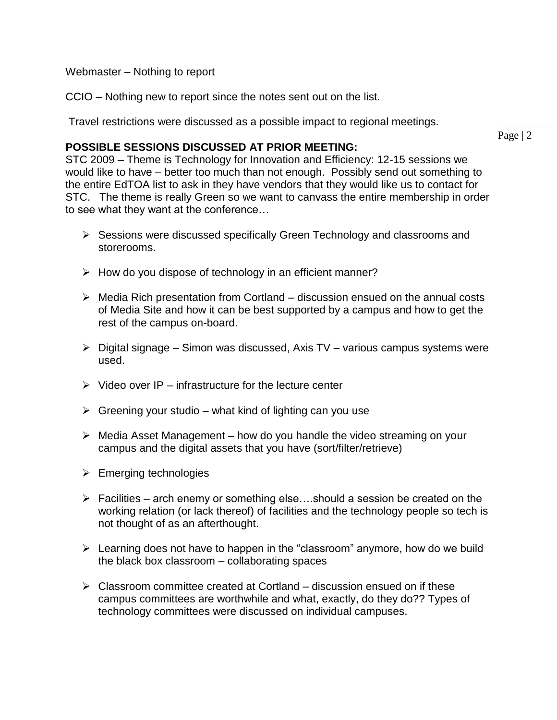Webmaster – Nothing to report

CCIO – Nothing new to report since the notes sent out on the list.

Travel restrictions were discussed as a possible impact to regional meetings.

#### **POSSIBLE SESSIONS DISCUSSED AT PRIOR MEETING:**

STC 2009 – Theme is Technology for Innovation and Efficiency: 12-15 sessions we would like to have – better too much than not enough. Possibly send out something to the entire EdTOA list to ask in they have vendors that they would like us to contact for STC. The theme is really Green so we want to canvass the entire membership in order to see what they want at the conference…

- $\triangleright$  Sessions were discussed specifically Green Technology and classrooms and storerooms.
- $\triangleright$  How do you dispose of technology in an efficient manner?
- $\triangleright$  Media Rich presentation from Cortland discussion ensued on the annual costs of Media Site and how it can be best supported by a campus and how to get the rest of the campus on-board.
- $\triangleright$  Digital signage Simon was discussed, Axis TV various campus systems were used.
- $\triangleright$  Video over IP infrastructure for the lecture center
- $\triangleright$  Greening your studio what kind of lighting can you use
- $\triangleright$  Media Asset Management how do you handle the video streaming on your campus and the digital assets that you have (sort/filter/retrieve)
- $\triangleright$  Emerging technologies
- $\triangleright$  Facilities arch enemy or something else....should a session be created on the working relation (or lack thereof) of facilities and the technology people so tech is not thought of as an afterthought.
- $\triangleright$  Learning does not have to happen in the "classroom" anymore, how do we build the black box classroom – collaborating spaces
- $\triangleright$  Classroom committee created at Cortland discussion ensued on if these campus committees are worthwhile and what, exactly, do they do?? Types of technology committees were discussed on individual campuses.

Page | 2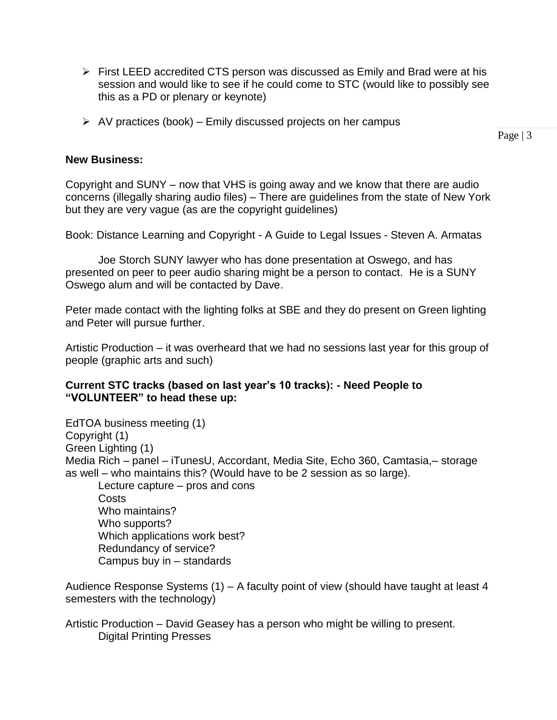- $\triangleright$  First LEED accredited CTS person was discussed as Emily and Brad were at his session and would like to see if he could come to STC (would like to possibly see this as a PD or plenary or keynote)
- $\triangleright$  AV practices (book) Emily discussed projects on her campus

Page  $|3$ 

### **New Business:**

Copyright and SUNY – now that VHS is going away and we know that there are audio concerns (illegally sharing audio files) – There are guidelines from the state of New York but they are very vague (as are the copyright guidelines)

Book: Distance Learning and Copyright - A Guide to Legal Issues - Steven A. Armatas

Joe Storch SUNY lawyer who has done presentation at Oswego, and has presented on peer to peer audio sharing might be a person to contact. He is a SUNY Oswego alum and will be contacted by Dave.

Peter made contact with the lighting folks at SBE and they do present on Green lighting and Peter will pursue further.

Artistic Production – it was overheard that we had no sessions last year for this group of people (graphic arts and such)

### **Current STC tracks (based on last year's 10 tracks): - Need People to "VOLUNTEER" to head these up:**

EdTOA business meeting (1) Copyright (1) Green Lighting (1) Media Rich – panel – iTunesU, Accordant, Media Site, Echo 360, Camtasia,– storage as well – who maintains this? (Would have to be 2 session as so large). Lecture capture – pros and cons Costs Who maintains? Who supports? Which applications work best? Redundancy of service? Campus buy in – standards

Audience Response Systems (1) – A faculty point of view (should have taught at least 4 semesters with the technology)

Artistic Production – David Geasey has a person who might be willing to present. Digital Printing Presses